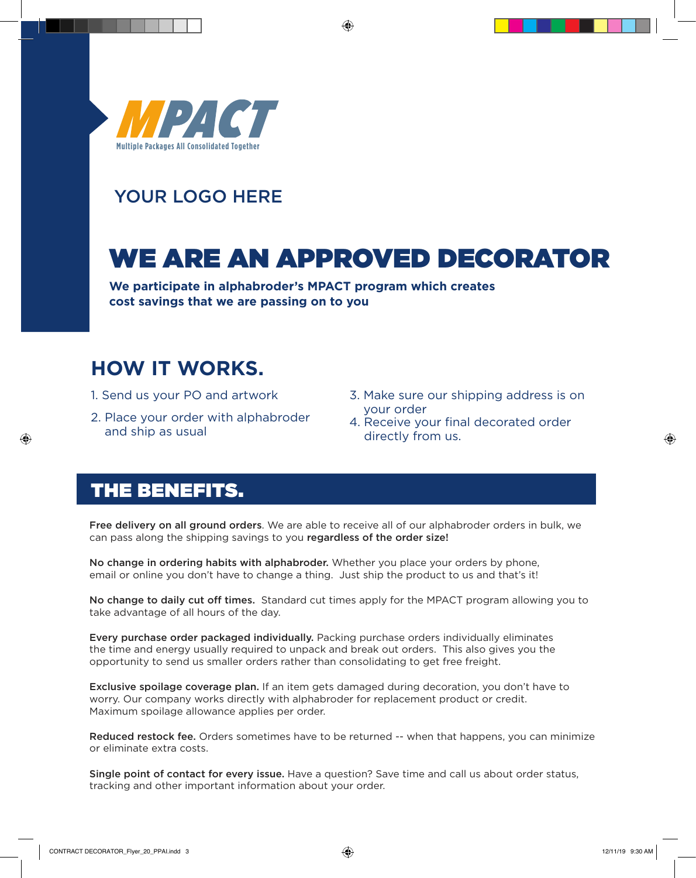

## YOUR LOGO HERE

## WE ARE AN APPROVED DECORATOR

⊕

**We participate in alphabroder's MPACT program which creates cost savings that we are passing on to you**

## **HOW IT WORKS.**

- 1. Send us your PO and artwork
- 2. Place your order with alphabroder and ship as usual
- 3. Make sure our shipping address is on your order
- 4. Receive your final decorated order directly from us.

## THE BENEFITS.

⊕

Free delivery on all ground orders. We are able to receive all of our alphabroder orders in bulk, we can pass along the shipping savings to you regardless of the order size!

No change in ordering habits with alphabroder. Whether you place your orders by phone, email or online you don't have to change a thing. Just ship the product to us and that's it!

No change to daily cut off times. Standard cut times apply for the MPACT program allowing you to take advantage of all hours of the day.

Every purchase order packaged individually. Packing purchase orders individually eliminates the time and energy usually required to unpack and break out orders. This also gives you the opportunity to send us smaller orders rather than consolidating to get free freight.

Exclusive spoilage coverage plan. If an item gets damaged during decoration, you don't have to worry. Our company works directly with alphabroder for replacement product or credit. Maximum spoilage allowance applies per order.

Reduced restock fee. Orders sometimes have to be returned -- when that happens, you can minimize or eliminate extra costs.

Single point of contact for every issue. Have a question? Save time and call us about order status, tracking and other important information about your order.